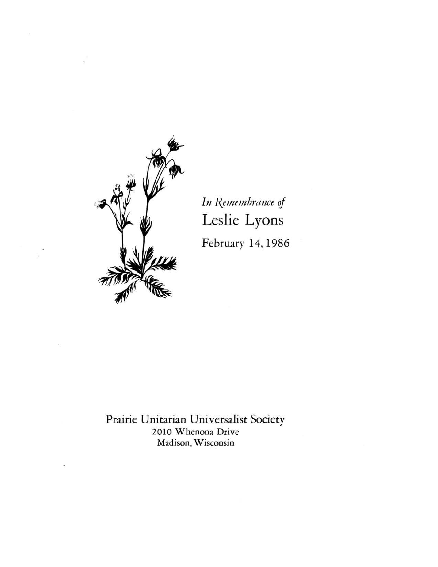

In Remembrance of Leslie Lyons February 14, 1986

Prairie Unitarian Universalist Society 2010 Whenona Drive Madison, Wisconsin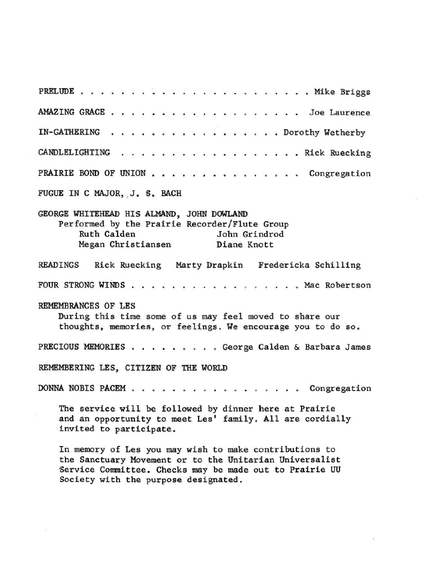PRELUDE • . Mike Briggs AMAZING GRACE **Joe Laurence**  IN-GATHERING . . . . . . . . . . . . . . . . Dorothy Wetherby CANDLELIGHTING . . . . . **PRAIRIE BOND OF UNION . . . . . . . . . . . . . . . Congregation** FUGUE IN C MAJOR, J. S. BACH GEORGE WHITEHEAD HIS ALMAND, JOHN DOWLAND **Performed by the Prairie Recorder/Flute Group**  Ruth Calden **Megan Christiansen**  . . . . Rick Ruecking John Grindrod **Diane Knott**  READINGS Rick Ruecking Marty Drapkin Fredericka Schilling FOUR STRONG WINDS . . . . . . . . . . . . . . . . Mac Robertson REMEMBRANCES OF LES **During this time some of us may feel moved to share our**  thoughts, memories, or feelings. We encourage you to do so. PRECIOUS MEMORIES • • . . . . **. George Calden & Barbara James**  REMEMBERING LES, CITIZEN OF THE WORLD DONNA NOBIS PACEM • • • . . . . . . **Congregation**  The service will be followed by dinner here at Prairie **and an opportunity to meet Les' family . All are cordially invited to participate. In memory of Lea you may wish to make contributions to the Sanctuary Movement or to the Unitarian Universalist 'Service Conmittee. Checks may be made Qut to Prairie UU Society with the purpose designated.**